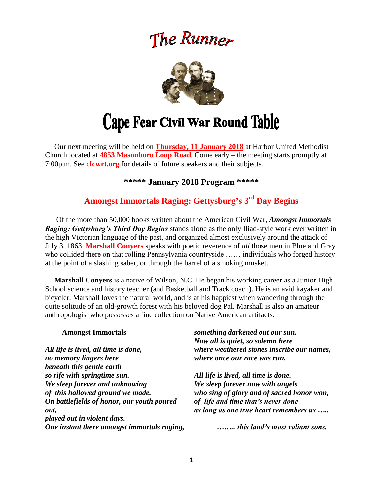# The Runner



# **Cape Fear Civil War Round Table**

 Our next meeting will be held on **Thursday, 11 January 2018** at Harbor United Methodist Church located at **4853 Masonboro Loop Road**. Come early – the meeting starts promptly at 7:00p.m. See **cfcwrt.org** for details of future speakers and their subjects.

**\*\*\*\*\* January 2018 Program \*\*\*\*\***

# **Amongst Immortals Raging: Gettysburg's 3 rd Day Begins**

Of the more than 50,000 books written about the American Civil War, *Amongst Immortals Raging: Gettysburg's Third Day Begins* stands alone as the only Iliad-style work ever written in the high Victorian language of the past, and organized almost exclusively around the attack of July 3, 1863. **Marshall Conyers** speaks with poetic reverence of *all* those men in Blue and Gray who collided there on that rolling Pennsylvania countryside …… individuals who forged history at the point of a slashing saber, or through the barrel of a smoking musket.

 **Marshall Conyers** is a native of Wilson, N.C. He began his working career as a Junior High School science and history teacher (and Basketball and Track coach). He is an avid kayaker and bicycler. Marshall loves the natural world, and is at his happiest when wandering through the quite solitude of an old-growth forest with his beloved dog Pal. Marshall is also an amateur anthropologist who possesses a fine collection on Native American artifacts.

| <b>Amongst Immortals</b>                    | something darkened out our sun.            |
|---------------------------------------------|--------------------------------------------|
|                                             | Now all is quiet, so solemn here           |
| All life is lived, all time is done,        | where weathered stones inscribe our names, |
| no memory lingers here                      | where once our race was run.               |
| beneath this gentle earth                   |                                            |
| so rife with springtime sun.                | All life is lived, all time is done.       |
| We sleep forever and unknowing              | We sleep forever now with angels           |
| of this hallowed ground we made.            | who sing of glory and of sacred honor won, |
| On battlefields of honor, our youth poured  | of life and time that's never done         |
| out.                                        | as long as one true heart remembers us     |
| played out in violent days.                 |                                            |
| One instant there amongst immortals raging, | this land's most valiant sons.             |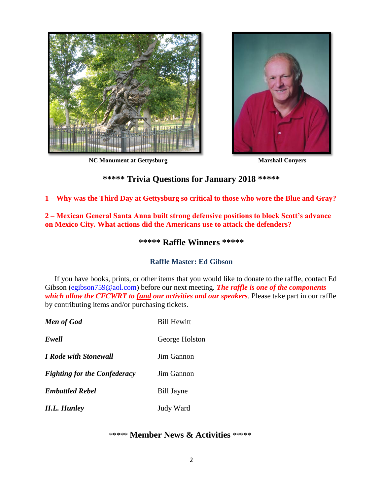

**NC Monument at Gettysburg Marshall Conyers**



# **\*\*\*\*\* Trivia Questions for January 2018 \*\*\*\*\***

**1 – Why was the Third Day at Gettysburg so critical to those who wore the Blue and Gray?**

**2 – Mexican General Santa Anna built strong defensive positions to block Scott's advance on Mexico City. What actions did the Americans use to attack the defenders?**

## **\*\*\*\*\* Raffle Winners \*\*\*\*\***

## **Raffle Master: Ed Gibson**

If you have books, prints, or other items that you would like to donate to the raffle, contact Ed Gibson [\(egibson759@aol.com\)](mailto:egibson759@aol.com) before our next meeting. *The raffle is one of the components which allow the CFCWRT to fund our activities and our speakers*. Please take part in our raffle by contributing items and/or purchasing tickets.

| <b>Men of God</b>                   | <b>Bill Hewitt</b> |
|-------------------------------------|--------------------|
| Ewell                               | George Holston     |
| <b>I Rode with Stonewall</b>        | Jim Gannon         |
| <b>Fighting for the Confederacy</b> | Jim Gannon         |
| <b>Embattled Rebel</b>              | <b>Bill Jayne</b>  |
| H.L. Hunley                         | Judy Ward          |

## \*\*\*\*\* **Member News & Activities** \*\*\*\*\*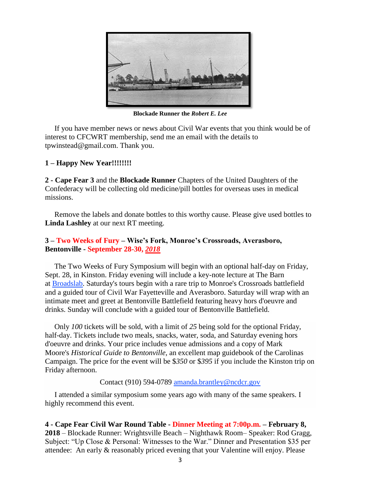

**Blockade Runner the** *Robert E. Lee*

 If you have member news or news about Civil War events that you think would be of interest to CFCWRT membership, send me an email with the details to tpwinstead@gmail.com. Thank you.

#### **1 – Happy New Year!!!!!!!!**

**2 - Cape Fear 3** and the **Blockade Runner** Chapters of the United Daughters of the Confederacy will be collecting old medicine/pill bottles for overseas uses in medical missions.

 Remove the labels and donate bottles to this worthy cause. Please give used bottles to **Linda Lashley** at our next RT meeting.

#### **3 – Two Weeks of Fury – Wise's Fork, Monroe's Crossroads, Averasboro, Bentonville - September 28-30,** *2018*

 The Two Weeks of Fury Symposium will begin with an optional half-day on Friday, Sept. 28, in Kinston. Friday evening will include a key-note lecture at The Barn at [Broadslab.](http://www.broadslabdistillery.com/) Saturday's tours begin with a rare trip to Monroe's Crossroads battlefield and a guided tour of Civil War Fayetteville and Averasboro. Saturday will wrap with an intimate meet and greet at Bentonville Battlefield featuring heavy hors d'oeuvre and drinks. Sunday will conclude with a guided tour of Bentonville Battlefield.

 Only *100* tickets will be sold, with a limit of *25* being sold for the optional Friday, half-day. Tickets include two meals, snacks, water, soda, and Saturday evening hors d'oeuvre and drinks. Your price includes venue admissions and a copy of Mark Moore's *Historical Guide to Bentonville,* an excellent map guidebook of the Carolinas Campaign. The price for the event will be \$*350* or \$*395* if you include the Kinston trip on Friday afternoon.

#### Contact (910) 594-0789 [amanda.brantley@ncdcr.gov](mailto:amanda.brantley@ncdcr.gov?subject=Symposium%20&%20Tour)

 I attended a similar symposium some years ago with many of the same speakers. I highly recommend this event.

**4 - Cape Fear Civil War Round Table - Dinner Meeting at 7:00p.m. – February 8, 2018** – Blockade Runner: Wrightsville Beach – Nighthawk Room– Speaker: Rod Gragg, Subject: "Up Close & Personal: Witnesses to the War." Dinner and Presentation \$35 per attendee: An early & reasonably priced evening that your Valentine will enjoy. Please